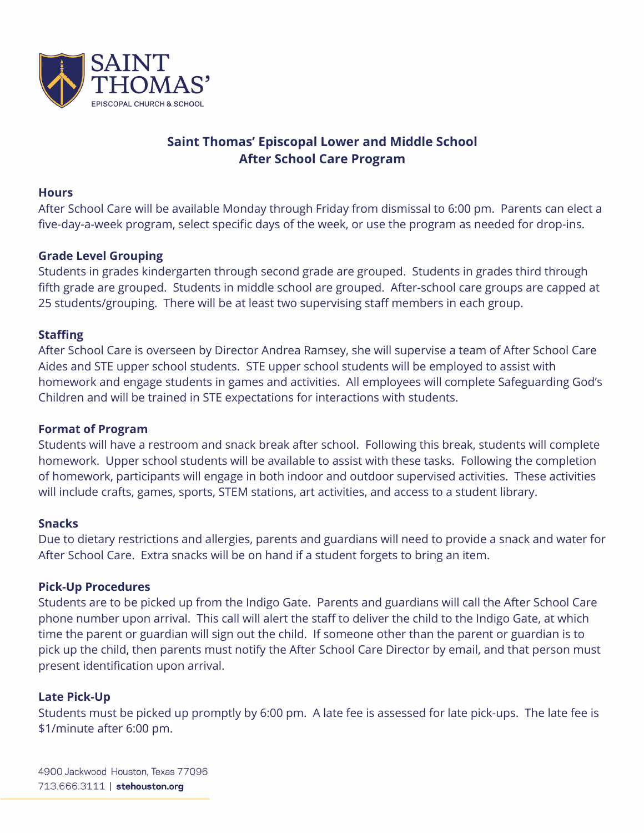

# **Saint Thomas' Episcopal Lower and Middle School After School Care Program**

### **Hours**

After School Care will be available Monday through Friday from dismissal to 6:00 pm. Parents can elect a five-day-a-week program, select specific days of the week, or use the program as needed for drop-ins.

# **Grade Level Grouping**

Students in grades kindergarten through second grade are grouped. Students in grades third through fifth grade are grouped. Students in middle school are grouped. After-school care groups are capped at 25 students/grouping. There will be at least two supervising staff members in each group.

# **Staffing**

After School Care is overseen by Director Andrea Ramsey, she will supervise a team of After School Care Aides and STE upper school students. STE upper school students will be employed to assist with homework and engage students in games and activities. All employees will complete Safeguarding God's Children and will be trained in STE expectations for interactions with students.

# **Format of Program**

Students will have a restroom and snack break after school. Following this break, students will complete homework. Upper school students will be available to assist with these tasks. Following the completion of homework, participants will engage in both indoor and outdoor supervised activities. These activities will include crafts, games, sports, STEM stations, art activities, and access to a student library.

# **Snacks**

Due to dietary restrictions and allergies, parents and guardians will need to provide a snack and water for After School Care. Extra snacks will be on hand if a student forgets to bring an item.

# **Pick-Up Procedures**

Students are to be picked up from the Indigo Gate. Parents and guardians will call the After School Care phone number upon arrival. This call will alert the staff to deliver the child to the Indigo Gate, at which time the parent or guardian will sign out the child. If someone other than the parent or guardian is to pick up the child, then parents must notify the After School Care Director by email, and that person must present identification upon arrival.

# **Late Pick-Up**

Students must be picked up promptly by 6:00 pm. A late fee is assessed for late pick-ups. The late fee is \$1/minute after 6:00 pm.

4900 Jackwood Houston, Texas 77096 713.666.3111 | stehouston.org